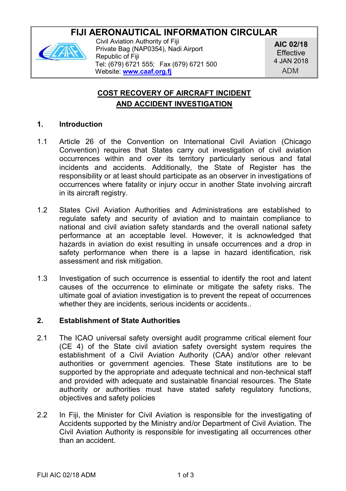# **FIJI AFRONAUTICAL INFORMATION CIRCULAR**



Civil Aviation Authority of Fiji Private Bag (NAP0354), Nadi Airport Republic of Fiji Tel: (679) 6721 555; Fax (679) 6721 500 Website: **[www.caaf.org.fj](http://www.caaf.org.fj/)**

**AIC 02/18 Effective** 4 JAN 2018 ADM

## **COST RECOVERY OF AIRCRAFT INCIDENT AND ACCIDENT INVESTIGATION**

#### **1. Introduction**

- 1.1 Article 26 of the Convention on International Civil Aviation (Chicago Convention) requires that States carry out investigation of civil aviation occurrences within and over its territory particularly serious and fatal incidents and accidents. Additionally, the State of Register has the responsibility or at least should participate as an observer in investigations of occurrences where fatality or injury occur in another State involving aircraft in its aircraft registry.
- 1.2 States Civil Aviation Authorities and Administrations are established to regulate safety and security of aviation and to maintain compliance to national and civil aviation safety standards and the overall national safety performance at an acceptable level. However, it is acknowledged that hazards in aviation do exist resulting in unsafe occurrences and a drop in safety performance when there is a lapse in hazard identification, risk assessment and risk mitigation.
- 1.3 Investigation of such occurrence is essential to identify the root and latent causes of the occurrence to eliminate or mitigate the safety risks. The ultimate goal of aviation investigation is to prevent the repeat of occurrences whether they are incidents, serious incidents or accidents..

## **2. Establishment of State Authorities**

- 2.1 The ICAO universal safety oversight audit programme critical element four (CE 4) of the State civil aviation safety oversight system requires the establishment of a Civil Aviation Authority (CAA) and/or other relevant authorities or government agencies. These State institutions are to be supported by the appropriate and adequate technical and non-technical staff and provided with adequate and sustainable financial resources. The State authority or authorities must have stated safety regulatory functions, objectives and safety policies
- 2.2 In Fiji, the Minister for Civil Aviation is responsible for the investigating of Accidents supported by the Ministry and/or Department of Civil Aviation. The Civil Aviation Authority is responsible for investigating all occurrences other than an accident.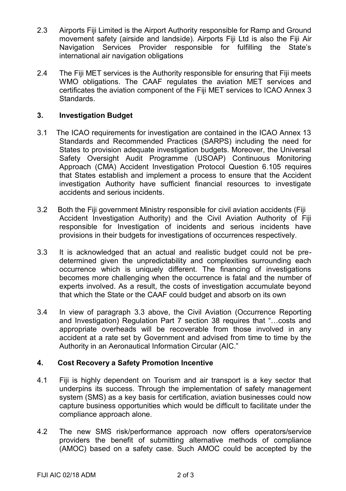- 2.3 Airports Fiji Limited is the Airport Authority responsible for Ramp and Ground movement safety (airside and landside). Airports Fiji Ltd is also the Fiji Air Navigation Services Provider responsible for fulfilling the State's international air navigation obligations
- 2.4 The Fiji MET services is the Authority responsible for ensuring that Fiji meets WMO obligations. The CAAF regulates the aviation MET services and certificates the aviation component of the Fiji MET services to ICAO Annex 3 Standards.

#### **3. Investigation Budget**

- 3.1 The ICAO requirements for investigation are contained in the ICAO Annex 13 Standards and Recommended Practices (SARPS) including the need for States to provision adequate investigation budgets. Moreover, the Universal Safety Oversight Audit Programme (USOAP) Continuous Monitoring Approach (CMA) Accident Investigation Protocol Question 6.105 requires that States establish and implement a process to ensure that the Accident investigation Authority have sufficient financial resources to investigate accidents and serious incidents.
- 3.2 Both the Fiji government Ministry responsible for civil aviation accidents (Fiji Accident Investigation Authority) and the Civil Aviation Authority of Fiji responsible for Investigation of incidents and serious incidents have provisions in their budgets for investigations of occurrences respectively.
- 3.3 It is acknowledged that an actual and realistic budget could not be predetermined given the unpredictability and complexities surrounding each occurrence which is uniquely different. The financing of investigations becomes more challenging when the occurrence is fatal and the number of experts involved. As a result, the costs of investigation accumulate beyond that which the State or the CAAF could budget and absorb on its own
- 3.4 In view of paragraph 3.3 above, the Civil Aviation (Occurrence Reporting and Investigation) Regulation Part 7 section 38 requires that "…costs and appropriate overheads will be recoverable from those involved in any accident at a rate set by Government and advised from time to time by the Authority in an Aeronautical Information Circular (AIC."

## **4. Cost Recovery a Safety Promotion Incentive**

- 4.1 Fiji is highly dependent on Tourism and air transport is a key sector that underpins its success. Through the implementation of safety management system (SMS) as a key basis for certification, aviation businesses could now capture business opportunities which would be difficult to facilitate under the compliance approach alone.
- 4.2 The new SMS risk/performance approach now offers operators/service providers the benefit of submitting alternative methods of compliance (AMOC) based on a safety case. Such AMOC could be accepted by the